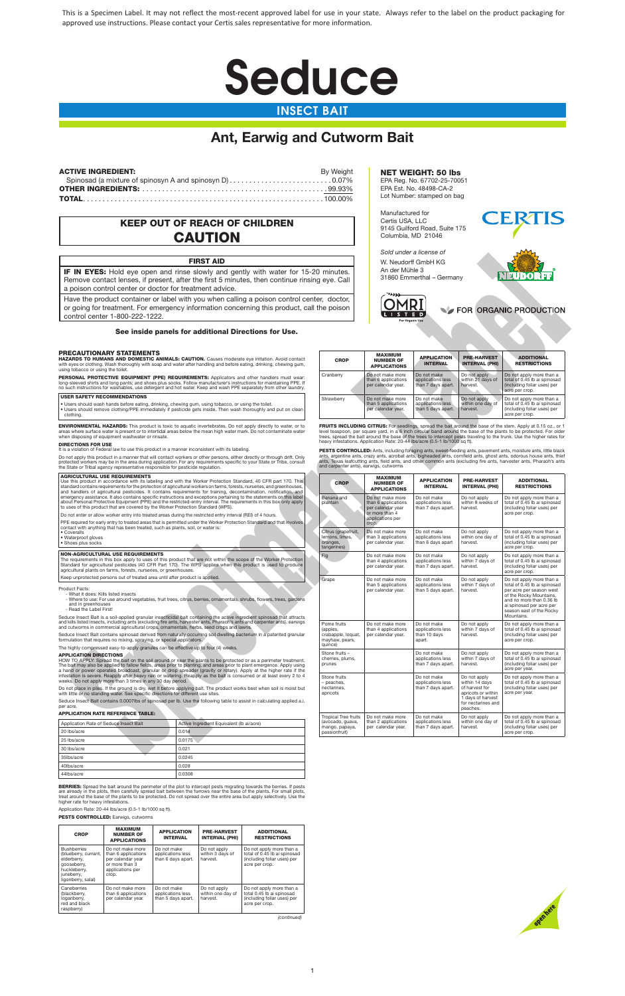

# INSECT BAIT

### PRECAUTIONARY STATEMENTS

### USER SAFETY RECOMMENDATIONS

### DIRECTIONS FOR USE

### AGRICULTURAL USE REQUIREMENTS

### • Waterproof gloves

• Shoes plus socks

### NON-AGRICULTURAL USE REQUIREMENTS

BERRIES: Spread the bait around the perimeter of the plot to intercept pests migrating towards the berries. If pests<br>are already in the plots, then carefully spread bait between the furrows near the base of the plants. For higher rate for heavy infestations.

Application Rate: 20-44 lbs/acre (0.5-1 lb/1000 sq ft).

PESTS CONTROLLED: Earwigs, cutworms

Product Facts:

| Application Rate of Seduce Insect Bait | Active Ingredient Equivalent (Ib ai/acre) |
|----------------------------------------|-------------------------------------------|
| 20 lbs/acre                            | 0.014                                     |
| 25 lbs/acre                            | 0.0175                                    |
| 30 lbs/acre                            | 0.021                                     |
| 35lbs/acre                             | 0.0245                                    |
| 40lbs/acre                             | 0.028                                     |
| 44lbs/acre                             | 0.0308                                    |

# KEEP OUT OF REACH OF CHILDREN **CAUTION**

| <b>CROP</b>                                                                                                                  | <b>MAXIMUM</b><br><b>NUMBER OF</b><br><b>APPLICATIONS</b>                                                   | <b>APPLICATION</b><br><b>INTERVAL</b>                  | <b>PRE-HARVEST</b><br><b>INTERVAL (PHI)</b>   | <b>ADDITIONAL</b><br><b>RESTRICTIONS</b>                                                                  |
|------------------------------------------------------------------------------------------------------------------------------|-------------------------------------------------------------------------------------------------------------|--------------------------------------------------------|-----------------------------------------------|-----------------------------------------------------------------------------------------------------------|
| <b>Bushberries</b><br>(blueberry, currant,<br>elderberry,<br>gooseberry.<br>huckleberry,<br>juneberry,<br>ligonberry, salal) | Do not make more<br>than 6 applications<br>per calendar year<br>or more than 3<br>applications per<br>crop. | Do not make<br>applications less<br>than 6 days apart. | Do not apply<br>within 3 days of<br>harvest.  | Do not apply more than a<br>total of 0.45 lb ai spinosad<br>(including foliar uses) per<br>acre per crop. |
| Caneberries<br>(blackberry,<br>loganberry,<br>red and black<br>raspberry)                                                    | Do not make more<br>than 6 applications<br>per calendar year.                                               | Do not make<br>applications less<br>than 5 days apart. | Do not apply<br>within one day of<br>harvest. | Do not apply more than a<br>total 0.45 lb ai spinosad<br>(including foliar uses) per<br>acre per crop.    |

*(continued)*

| <b>CROP</b> | <b>MAXIMUM</b><br><b>NUMBER OF</b><br><b>APPLICATIONS</b>     | <b>APPLICATION</b><br><b>INTERVAL</b>                  | <b>PRE-HARVEST</b><br><b>INTERVAL (PHI)</b>   | <b>ADDITIONAL</b><br><b>RESTRICTIONS</b>                                                                  |  |
|-------------|---------------------------------------------------------------|--------------------------------------------------------|-----------------------------------------------|-----------------------------------------------------------------------------------------------------------|--|
| Cranberry   | Do not make more<br>than 6 applications<br>per calendar year. | Do not make<br>applications less<br>than 7 days apart. | Do not apply<br>within 21 days of<br>harvest. | Do not apply more than a<br>total of 0.45 lb ai spinosad<br>(including foliar uses) per<br>acre per crop. |  |
| Strawberry  | Do not make more<br>than 5 applications<br>per calendar year. | Do not make<br>applications less<br>than 5 days apart. | Do not apply<br>within one day of<br>harvest. | Do not apply more than a<br>total of 0.45 lb ai spinosad<br>(including foliar uses) per<br>acre per crop. |  |

|                                                                                                                                                                                                 |                                                                                                                                                                                                                                                                                                                                                                            | Sold under a license of                                                     |                                                                                                    |                                                            |                                                                                                                               |                                                                                                                                                                                                                                                                                                                                                                       |
|-------------------------------------------------------------------------------------------------------------------------------------------------------------------------------------------------|----------------------------------------------------------------------------------------------------------------------------------------------------------------------------------------------------------------------------------------------------------------------------------------------------------------------------------------------------------------------------|-----------------------------------------------------------------------------|----------------------------------------------------------------------------------------------------|------------------------------------------------------------|-------------------------------------------------------------------------------------------------------------------------------|-----------------------------------------------------------------------------------------------------------------------------------------------------------------------------------------------------------------------------------------------------------------------------------------------------------------------------------------------------------------------|
|                                                                                                                                                                                                 | <b>FIRST AID</b>                                                                                                                                                                                                                                                                                                                                                           |                                                                             |                                                                                                    | W. Neudorff GmbH KG                                        |                                                                                                                               |                                                                                                                                                                                                                                                                                                                                                                       |
| a poison control center or doctor for treatment advice.                                                                                                                                         | IF IN EYES: Hold eye open and rinse slowly and gently with water for 15-20 minutes.<br>Remove contact lenses, if present, after the first 5 minutes, then continue rinsing eye. Call                                                                                                                                                                                       |                                                                             | An der Mühle 3<br>يددد                                                                             | 31860 Emmerthal - Germany                                  |                                                                                                                               | NEUDORFF                                                                                                                                                                                                                                                                                                                                                              |
| control center 1-800-222-1222.                                                                                                                                                                  | Have the product container or label with you when calling a poison control center, doctor,<br>or going for treatment. For emergency information concerning this product, call the poison                                                                                                                                                                                   |                                                                             | <b>For Organic Use</b>                                                                             |                                                            |                                                                                                                               | FOR ORGANIC PRODUCTION                                                                                                                                                                                                                                                                                                                                                |
|                                                                                                                                                                                                 | See inside panels for additional Directions for Use.                                                                                                                                                                                                                                                                                                                       |                                                                             |                                                                                                    |                                                            |                                                                                                                               |                                                                                                                                                                                                                                                                                                                                                                       |
| RECAUTIONARY STATEMENTS<br>ing tobacco or using the toilet.                                                                                                                                     | AZARDS TO HUMANS AND DOMESTIC ANIMALS: CAUTION. Causes moderate eye irritation. Avoid contact<br>th eyes or clothing. Wash thoroughly with soap and water after handling and before eating, drinking, chewing gum,                                                                                                                                                         | <b>CROP</b>                                                                 | MAXIMUM<br><b>NUMBER OF</b><br><b>APPLICATIONS</b>                                                 | <b>APPLICATION</b><br><b>INTERVAL</b>                      | <b>PRE-HARVEST</b><br><b>INTERVAL (PHI)</b>                                                                                   | <b>ADDITIONAL</b><br><b>RESTRICTIONS</b>                                                                                                                                                                                                                                                                                                                              |
|                                                                                                                                                                                                 | ERSONAL PROTECTIVE EQUIPMENT (PPE) REQUIREMENTS: Applicators and other handlers must wear:<br>ng-sleeved shirts and long pants; and shoes plus socks. Follow manufacturer's instructions for maintaining PPE. If<br>such instructions for washables, use detergent and hot water. Keep and wash PPE separately from other laundry.                                         | Cranberry                                                                   | Do not make more<br>than 6 applications<br>per calendar year.                                      | Do not make<br>applications less<br>than 7 days apart.     | Do not apply<br>within 21 days of<br>harvest.                                                                                 | Do not apply more than a<br>total of 0.45 lb ai spinosad<br>(including foliar uses) per<br>acre per crop.                                                                                                                                                                                                                                                             |
| <b>ISER SAFETY RECOMMENDATIONS</b><br>Users should wash hands before eating, drinking, chewing gum, using tobacco, or using the toilet.<br>clothing.                                            | Users should remove clothing/PPE immediately if pesticide gets inside. Then wash thoroughly and put on clean                                                                                                                                                                                                                                                               | Strawberry                                                                  | Do not make more<br>than 5 applications<br>per calendar year.                                      | Do not make<br>applications less<br>than 5 days apart.     | Do not apply<br>within one day of<br>harvest.                                                                                 | Do not apply more than a<br>total of 0.45 lb ai spinosad<br>(including foliar uses) per<br>acre per crop.                                                                                                                                                                                                                                                             |
| nen disposing of equipment washwater or rinsate.<br><b>IRECTIONS FOR USE</b>                                                                                                                    | <b>NVIRONMENTAL HAZARDS:</b> This product is toxic to aquatic invertebrates. Do not apply directly to water, or to<br>eas where surface water is present or to intertidal areas below the mean high water mark. Do not contaminate water                                                                                                                                   |                                                                             | heavy infestations. Application Rate: 20-44 lbs/acre (0.5-1 lb/1000 sq ft).                        |                                                            |                                                                                                                               | <b>FRUITS INCLUDING CITRUS:</b> For seedlings, spread the bait around the base of the stem. Apply at 0.15 oz., or 1<br>level teaspoon, per square yard, in a 6 inch circular band around the base of the plants to be protected. For older<br>trees, spread the bait around the base of the trees to intercept pests traveling to the trunk. Use the higher rates for |
| is a violation of Federal law to use this product in a manner inconsistent with its labeling.<br>e State or Tribal agency representative responsible for pesticide regulation.                  | o not apply this product in a manner that will contact workers or other persons, either directly or through drift. Only<br>otected workers may be in the area during application. For any requirements specific to your State or Tribe, consult                                                                                                                            | and carpenter ants), earwigs, cutworms                                      |                                                                                                    |                                                            |                                                                                                                               | PESTS CONTROLLED: Ants, including foraging ants, sweet-feeding ants, pavement ants, moisture ants, little black<br>ants, argentine ants, crazy ants, acrobat ants, bigheaded ants, cornfield ants, ghost ants, odorous house ants, thief<br>ants, Texas leafcutting ants, field ants, and other common ants (excluding fire ants, harvester ants, Pharaoh's ants      |
| <b>GRICULTURAL USE REQUIREMENTS</b>                                                                                                                                                             | Ise this product in accordance with its labeling and with the Worker Protection Standard, 40 CFR part 170. This<br>tandard contains requirements for the protection of agricultural workers on farms, forests, nurseries, and greenhouses,<br>nd handlers of agricultural pesticides. It contains requirements for training, decontamination, notification, and            | <b>CROP</b>                                                                 | MAXIMUM<br><b>NUMBER OF</b><br><b>APPLICATIONS</b>                                                 | <b>APPLICATION</b><br><b>INTERVAL</b>                      | <b>PRE-HARVEST</b><br><b>INTERVAL (PHI)</b>                                                                                   | <b>ADDITIONAL</b><br><b>RESTRICTIONS</b>                                                                                                                                                                                                                                                                                                                              |
| o uses of this product that are covered by the Worker Protection Standard (WPS).<br>o not enter or allow worker entry into treated areas during the restricted entry interval (REI) of 4 hours. | mergency assistance. It also contains specific instructions and exceptions pertaining to the statements on this label<br>bout Personal Protective Equipment (PPE) and the restricted-entry interval. The requirements in this box only apply                                                                                                                               | Banana and<br>plantain                                                      | Do not make more<br>than 6 applications<br>per calendar year<br>or more than 4<br>applications per | Do not make<br>applications less<br>than 7 days apart.     | Do not apply<br>within 8 weeks of<br>harvest.                                                                                 | Do not apply more than a<br>total of 0.45 lb ai spinosad<br>(including foliar uses) per<br>acre per crop.                                                                                                                                                                                                                                                             |
| ontact with anything that has been treated, such as plants, soil, or water is:<br>Coveralls<br>Waterproof gloves<br>Shoes plus socks                                                            | PE required for early entry to treated areas that is permitted under the Worker Protection Standard and that involves                                                                                                                                                                                                                                                      | Citrus (grapefruit,<br>lemons, limes,<br>oranges,<br>tangerines)            | crop.<br>Do not make more<br>than 3 applications<br>per calendar year.                             | Do not make<br>applications less<br>than 6 days apart      | Do not apply<br>within one day of<br>harvest.                                                                                 | Do not apply more than a<br>total of 0.45 lb ai spinosad<br>(including foliar uses) per<br>acre per crop.                                                                                                                                                                                                                                                             |
| ION-AGRICULTURAL USE REQUIREMENTS<br>gricultural plants on farms, forests, nurseries, or greenhouses.                                                                                           | he requirements in this box apply to uses of this product that are not within the scope of the Worker Protection<br>tandard for agricultural pesticides (40 CFR Part 170). The WPS applies when this product is used to produce                                                                                                                                            | Fig                                                                         | Do not make more<br>than 4 applications<br>per calendar year.                                      | Do not make<br>applications less<br>than 7 days apart.     | Do not apply<br>within 7 days of<br>harvest.                                                                                  | Do not apply more than a<br>total of 0.45 lb ai spinosad<br>(including foliar uses) per<br>acre per crop.                                                                                                                                                                                                                                                             |
| eep unprotected persons out of treated area until after product is applied.<br>oduct Facts:<br>- What it does: Kills listed insects<br>and in greenhouses<br>- Read the Label First!            | - Where to use: For use around vegetables, fruit trees, citrus, berries, ornamentals, shrubs, flowers, trees, gardens                                                                                                                                                                                                                                                      | Grape                                                                       | Do not make more<br>than 5 applications<br>per calendar year.                                      | Do not make<br>applications less<br>than 5 days apart.     | Do not apply<br>within 7 days of<br>harvest.                                                                                  | Do not apply more than a<br>total of 0.45 lb ai spinosad<br>per acre per season west<br>of the Rocky Mountains,<br>and no more than 0.36 lb<br>ai spinosad per acre per<br>season east of the Rocky                                                                                                                                                                   |
| d cutworms in commercial agricultural crops, ornamentals, herbs, seed crops and lawns.<br>rmulation that requires no mixing, spraying, or special applicators.                                  | educe Insect Bait is a soil-applied granular insecticidal bait containing the active ingredient spinosad that attracts<br>id kills listed insects, including ants (excluding fire ants, harvester ants, Pharaoh's ants and carpenter ants), earwigs<br>educe Insect Bait contains spinosad derived from naturally occurring soil dwelling bacterium in a patented granular | Pome fruits<br>(apples,<br>crabapple, loquat,<br>mayhaw, pears,             | Do not make more<br>than 4 applications<br>per calendar year.                                      | Do not make<br>applications less<br>than 10 days<br>apart. | Do not apply<br>within 7 days of<br>harvest.                                                                                  | Mountains.<br>Do not apply more than a<br>total of 0.45 lb ai spinosad<br>(including foliar uses) per<br>acre per crop.                                                                                                                                                                                                                                               |
| ie highly compressed easy-to-apply granules can be effective up to four (4) weeks.<br><b>PPLICATION DIRECTIONS</b>                                                                              | OW TO APPLY: Spread the bait on the soil around or near the plants to be protected or as a perimeter treatment.<br>ie bait may also be applied to fallow fields, areas prior to planting, and areas prior to plant emergence. Apply using<br>hand or power operated broadcast, granular or drop spreader (gravity or rotary). Apply at the higher rate if the              | quince)<br>Stone fruits -<br>cherries, plums,<br>prunes                     |                                                                                                    | Do not make<br>applications less<br>than 7 days apart.     | Do not apply<br>within 7 days of<br>harvest.                                                                                  | Do not apply more than a<br>total of 0.45 lb ai spinosad<br>(including foliar uses) per<br>acre per year.                                                                                                                                                                                                                                                             |
| eeks. Do not apply more than 3 times in any 30 day period.<br>th little or no standing water. See specific directions for different use sites.<br>er acre.                                      | festation is severe. Reapply after heavy rain or watering. Reapply as the bait is consumed or at least every 2 to 4<br>o not place in piles. If the ground is dry, wet it before applying bait. The product works best when soil is moist but<br>educe Insect Bait contains 0.0007lbs of spinosad per lb. Use the following table to assist in calculating applied a.i.    | Stone fruits<br>- peaches,<br>nectarines,<br>apricots                       |                                                                                                    | Do not make<br>applications less<br>than 7 days apart.     | Do not apply<br>within 14 days<br>of harvest for<br>apricots or within<br>1 days of harvest<br>for nectarines and<br>peaches. | Do not apply more than a<br>total of 0.45 lb ai spinosad<br>(including foliar uses) per<br>acre per year.                                                                                                                                                                                                                                                             |
| PPLICATION RATE REFERENCE TABLE:<br>Application Rate of Seduce Insect Bait<br>0 lbs/acre                                                                                                        | Active Ingredient Equivalent (Ib ai/acre)<br>0.014                                                                                                                                                                                                                                                                                                                         | Tropical Tree fruits<br>(avocado, guava,<br>mango, papaya,<br>passionfruit) | Do not make more<br>than 2 applications<br>per calendar year.                                      | Do not make<br>applications less<br>than 7 days apart.     | Do not apply<br>within one day of<br>harvest.                                                                                 | Do not apply more than a<br>total of 0.45 lb ai spinosad<br>(including foliar uses) per<br>acre per crop.                                                                                                                                                                                                                                                             |
| !5 lbs/acre                                                                                                                                                                                     | 0.0175                                                                                                                                                                                                                                                                                                                                                                     |                                                                             |                                                                                                    |                                                            |                                                                                                                               |                                                                                                                                                                                                                                                                                                                                                                       |
| 0 lbs/acre                                                                                                                                                                                      | 0.021                                                                                                                                                                                                                                                                                                                                                                      |                                                                             |                                                                                                    |                                                            |                                                                                                                               |                                                                                                                                                                                                                                                                                                                                                                       |
| 5lhe/acro                                                                                                                                                                                       | 0.0245                                                                                                                                                                                                                                                                                                                                                                     |                                                                             |                                                                                                    |                                                            |                                                                                                                               |                                                                                                                                                                                                                                                                                                                                                                       |

### **APPLICATION RATE REFERENCE TA**

| Tropical Tree fruits   Do not make more |                     | Do not make        | Do not apply      | Do not apply more than a     |
|-----------------------------------------|---------------------|--------------------|-------------------|------------------------------|
| (avocado, guava,                        | than 2 applications | applications less  | within one day of | total of 0.45 lb ai spinosad |
| mango, papaya,                          | per calendar vear.  | than 7 davs apart. | harvest.          | (including foliar uses) per  |
| passionfruit)                           |                     |                    |                   | acre per crop.               |



# **Ant, Earwig and Cutworm Bait**

| <b>ACTIVE INGREDIENT:</b> | Bv Weiaht |
|---------------------------|-----------|
|                           |           |
|                           |           |
|                           |           |

### NET WEIGHT: 50 lbs EPA Reg. No. 67702-25-70051

EPA Est. No. 48498-CA-2 Lot Number: stamped on bag

Manufactured for Certis USA, LLC 9145 Guilford Road, Suite 175 Columbia, MD 21046





### FIRST AID

## See inside panels for additional Directions for Use.

This is a Specimen Label. It may not reflect the most-recent approved label for use in your state. Always refer to the label on the product packaging for approved use instructions. Please contact your Certis sales representative for more information.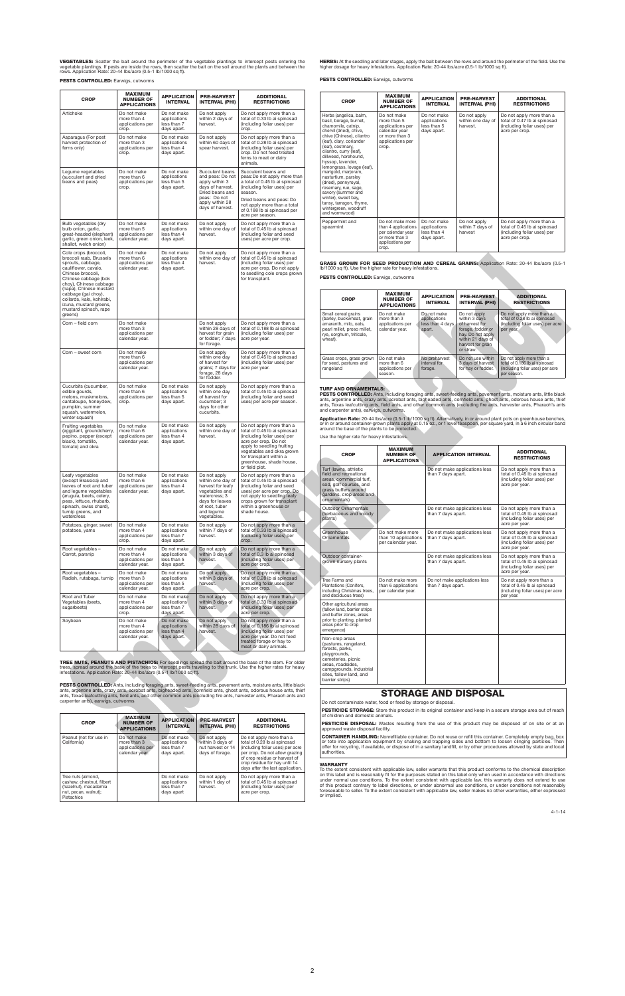**WARRANTY**<br>To the extent consistent with applicable law, seller warrants that this product conforms to the chemical description<br>To this label and is reasonably fit for the purposes stated on this label only when used in ac or implied.

**VEGETABLES:** Scatter the bait around the perimeter of the vegetable plantings to intercept pests entering the<br>vegetable plantings. If pests are inside the rows, then scatter the bait on the soil around the plants and betw

PESTS CONTROLLED: Earwigs, cutworms

| <b>CROP</b>                                                                                                                                                                                     | <b>MAXIMUM</b><br><b>NUMBER OF</b><br><b>APPLICATIONS</b>        | <b>APPLICATION</b><br><b>INTERVAL</b>                     | <b>PRE-HARVEST</b><br><b>INTERVAL (PHI)</b>                                                                                                         | <b>ADDITIONAL</b><br><b>RESTRICTIONS</b>                                                                                                                                                                                                                                                                                                                                                                                                                                |                                                                                                                                                                                                                                                                                                                                                                                                                                             | <b>CROP</b>                                                                                                                                                                                                                                                                                                                                                                                                               | <b>MAXIMUM</b><br><b>NUMBER OF</b><br><b>APPLICATIONS</b>                                                   | <b>APPLICATION</b><br><b>INTERVAL</b>                     | <b>PRE-HARVEST</b><br><b>INTERVAL (PHI)</b>                                                                                         | <b>ADDITIONAL</b><br><b>RESTRICTIONS</b>                                                                       |
|-------------------------------------------------------------------------------------------------------------------------------------------------------------------------------------------------|------------------------------------------------------------------|-----------------------------------------------------------|-----------------------------------------------------------------------------------------------------------------------------------------------------|-------------------------------------------------------------------------------------------------------------------------------------------------------------------------------------------------------------------------------------------------------------------------------------------------------------------------------------------------------------------------------------------------------------------------------------------------------------------------|---------------------------------------------------------------------------------------------------------------------------------------------------------------------------------------------------------------------------------------------------------------------------------------------------------------------------------------------------------------------------------------------------------------------------------------------|---------------------------------------------------------------------------------------------------------------------------------------------------------------------------------------------------------------------------------------------------------------------------------------------------------------------------------------------------------------------------------------------------------------------------|-------------------------------------------------------------------------------------------------------------|-----------------------------------------------------------|-------------------------------------------------------------------------------------------------------------------------------------|----------------------------------------------------------------------------------------------------------------|
| Artichoke                                                                                                                                                                                       | Do not make<br>more than 4<br>applications per<br>crop.          | Do not make<br>applications<br>less than 7<br>days apart. | Do not apply<br>within 2 days of<br>harvest.                                                                                                        | Do not apply more than a<br>total of 0.33 lb ai spinosad<br>(including foliar uses) per<br>crop.                                                                                                                                                                                                                                                                                                                                                                        |                                                                                                                                                                                                                                                                                                                                                                                                                                             | Herbs (angelica, balm,<br>basil, borage, burnet,<br>chamomile, catnip,<br>chervil (dried), chive.                                                                                                                                                                                                                                                                                                                         | Do not make<br>more than 5<br>applications per<br>calendar year                                             | Do not make<br>applications<br>less than 5<br>days apart. | Do not apply<br>within one day of<br>harvest.                                                                                       | Do not apply more than a<br>total of 0.47 lb ai spinosad<br>(including foliar uses) per<br>acre per crop.      |
| Asparagus (For post<br>harvest protection of<br>ferns only)                                                                                                                                     | Do not make<br>more than 3<br>applications per<br>crop.          | Do not make<br>applications<br>less than 4<br>days apart. | Do not apply<br>within 60 days of<br>spear harvest.                                                                                                 | Do not apply more than a<br>total of 0.28 lb ai spinosad<br>(including foliar uses) per<br>crop. Do not feed treated<br>ferns to meat or dairy<br>animals.                                                                                                                                                                                                                                                                                                              |                                                                                                                                                                                                                                                                                                                                                                                                                                             | chive (Chinese), cilantro<br>(leaf), clary, coriander<br>(leaf), costmary,<br>cilantro, curry (leaf),<br>dillweed, horehound,<br>hyssop, lavender,<br>lemongrass, lovage (leaf),                                                                                                                                                                                                                                          | or more than 3<br>applications per<br>crop.                                                                 |                                                           |                                                                                                                                     |                                                                                                                |
| Legume vegetables<br>(succulent and dried<br>beans and peas)                                                                                                                                    | Do not make<br>more than 6<br>applications per<br>crop.          | Do not make<br>applications<br>less than 5<br>days apart. | Succulent beans<br>and peas: Do not<br>apply within 3<br>days of harvest.<br>Dried beans and<br>peas: Do not<br>apply within 28<br>days of harvest. | Succulent beans and<br>peas: Do not apply more than<br>a total of 0.45 lb ai spinosad<br>(including foliar uses) per<br>season.<br>Dried beans and peas: Do<br>not apply more than a total<br>of 0.188 lb ai spinosad per<br>acre per season.                                                                                                                                                                                                                           |                                                                                                                                                                                                                                                                                                                                                                                                                                             | marigold, marjoram,<br>nasturtium, parslev<br>(dried), pennyroyal,<br>rosemary, rue, sage,<br>savory (summer and<br>winter), sweet bay,<br>tansy, tarragon, thyme,<br>wintergreen, woodruff<br>and wormwood)                                                                                                                                                                                                              |                                                                                                             |                                                           |                                                                                                                                     |                                                                                                                |
| Bulb vegetables (dry<br>bulb onion, garlic,<br>great-headed (elephant)<br>garlic, green onion, leek.<br>shallot, welch onion)                                                                   | Do not make<br>more than 5<br>applications per<br>calendar year. | Do not make<br>applications<br>less than 4<br>days apart. | Do not apply<br>within one day of<br>harvest.                                                                                                       | Do not apply more than a<br>total of 0.45 lb ai spinosad<br>(including foliar and seed<br>uses) per acre per crop.                                                                                                                                                                                                                                                                                                                                                      |                                                                                                                                                                                                                                                                                                                                                                                                                                             | Peppermint and<br>spearmint                                                                                                                                                                                                                                                                                                                                                                                               | Do not make more<br>than 4 applications<br>per calendar year<br>or more than 3<br>applications per<br>crop. | Do not make<br>applications<br>less than 4<br>days apart. | Do not apply<br>within 7 days of<br>harvest                                                                                         | Do not apply more than a<br>total of 0.45 lb ai spinosad<br>(including foliar uses) per<br>acre per crop.      |
| Cole crops (broccoli,<br>broccoli raab, Brussels<br>sprouts, cabbage,<br>cauliflower, cavalo,<br>Chinese broccoli,<br>Chinese cabbage (bok<br>choy), Chinese cabbage<br>(napa), Chinese mustard | Do not make<br>more than 6<br>applications per<br>calendar year. | Do not make<br>applications<br>less than 4<br>days apart. | Do not apply<br>within one day of<br>harvest.                                                                                                       | Do not apply more than a<br>total of 0.45 lb ai spinosad<br>(including foliar uses) per<br>acre per crop. Do not apply<br>to seedling cole crops grown<br>for transplant.                                                                                                                                                                                                                                                                                               |                                                                                                                                                                                                                                                                                                                                                                                                                                             | Ib/1000 sq ft). Use the higher rate for heavy infestations.<br><b>PESTS CONTROLLED:</b> Earwigs, cutworms                                                                                                                                                                                                                                                                                                                 |                                                                                                             |                                                           |                                                                                                                                     | GRASS GROWN FOR SEED PRODUCTION AND CEREAL GRAINS: Application Rate: 20-44 Ibs/acre (0.5-1                     |
| cabbage (gai choy),<br>collards, kale, kohlrabi,<br>izuna, mustard greens,<br>mustard spinach, rape                                                                                             |                                                                  |                                                           |                                                                                                                                                     |                                                                                                                                                                                                                                                                                                                                                                                                                                                                         |                                                                                                                                                                                                                                                                                                                                                                                                                                             | <b>CROP</b>                                                                                                                                                                                                                                                                                                                                                                                                               | <b>MAXIMUM</b><br><b>NUMBER OF</b><br><b>APPLICATIONS</b>                                                   | <b>APPLICATION</b><br><b>INTERVAL</b>                     | <b>PRE-HARVEST</b><br><b>INTERVAL (PHI)</b>                                                                                         | <b>ADDITIONAL</b><br><b>RESTRICTIONS</b>                                                                       |
| greens)<br>Corn - field corn                                                                                                                                                                    | Do not make<br>more than 3<br>applications per<br>calendar year. |                                                           | Do not apply<br>within 28 days of<br>harvest for grain<br>or fodder; 7 days<br>for forage.                                                          | Do not apply more than a<br>total of 0.188 lb ai spinosad<br>(including foliar uses) per<br>acre per year.                                                                                                                                                                                                                                                                                                                                                              |                                                                                                                                                                                                                                                                                                                                                                                                                                             | Small cereal grains<br>(barley, buckwheat, grain<br>amaranth, milo, oats,<br>pearl millet, proso millet,<br>rye, sorghum, triticale,<br>wheat).                                                                                                                                                                                                                                                                           | Do not make<br>more than 3<br>applications per<br>calendar year.                                            | Do not make<br>applications<br>less than 4 days<br>apart. | Do not apply<br>within 3 days<br>of harvest for<br>forage, fodder or<br>hay. Do not apply<br>within 21 days of<br>harvest for grain | Do not apply more than a<br>total of 0.28 lb ai spinosad<br>(including foliar uses) per acre<br>per year.      |
| Corn - sweet corn                                                                                                                                                                               | Do not make<br>more than 6<br>applications per<br>calendar year. |                                                           | Do not apply<br>within one day<br>of harvest for<br>grains; 7 days for<br>forage, 28 days<br>for fodder.                                            | Do not apply more than a<br>total of 0.45 lb ai spinosad<br>(including foliar uses) per<br>acre per year.                                                                                                                                                                                                                                                                                                                                                               |                                                                                                                                                                                                                                                                                                                                                                                                                                             | Grass crops, grass grown<br>for seed, pastures and<br>rangeland                                                                                                                                                                                                                                                                                                                                                           | Do not make<br>more than 6<br>applications per<br>season.                                                   | No preharvest<br>interval for<br>forage.                  | or straw.<br>Do not use within<br>3 days of harvest<br>for hay or fodder.                                                           | Do not apply more than a<br>total of 0.186 lb ai spinosad<br>(including foliar uses) per acre<br>per season.   |
| Cucurbits (cucumber,<br>edible gourds,<br>melons, muskmelons,<br>cantaloupe, honeydew,<br>pumpkin, summer<br>squash, watermelon,<br>winter squash)                                              | Do not make<br>more than 6<br>applications per<br>crop.          | Do not make<br>applications<br>less than 5<br>days apart. | Do not apply<br>within one day<br>of harvest for<br>cucumber; 3<br>days for other<br>cucurbits.                                                     | Do not apply more than a<br>total of 0.45 lb ai spinosad<br>(including foliar and seed<br>uses) per acre per season.                                                                                                                                                                                                                                                                                                                                                    | TURF AND ORNAMENTALS:<br><b>PESTS CONTROLLED:</b> Ants, including foraging ants, sweet-feeding ants, pavement ants, moisture ants, little black<br>ants, argentine ants, crazy ants, acrobat ants, bigheaded ants, cornfield ants, ghost ants, odorous house ants, thief<br>ants, Texas leafcutting ants, field ants, and other common ants (excluding fire ants, harvester ants, Pharaoh's ants<br>and carpenter ants), earwigs, cutworms. |                                                                                                                                                                                                                                                                                                                                                                                                                           |                                                                                                             |                                                           |                                                                                                                                     |                                                                                                                |
| Fruiting vegetables<br>(eggplant, groundcherry,<br>pepino, pepper (except<br>black), tomatillo,                                                                                                 | Do not make<br>more than 6<br>applications per<br>calendar year. | Do not make<br>applications<br>less than 4<br>days apart. | Do not apply<br>within one day of<br>harvest.                                                                                                       | Application Rate: 20-44 lbs/acre (0.5-1 lb/1000 sq ft). Alternatively, in or around plant pots on greenhouse benches,<br>or in or around container-grown plants apply at 0.15 oz., or 1 level teaspoon, per square yard, in a 6 inch circular band<br>Do not apply more than a<br>around the base of the plants to be protected.<br>total of 0.45 lb ai spinosad<br>(including foliar uses) per<br>Use the higher rate for heavy infestations.<br>acre per crop. Do not |                                                                                                                                                                                                                                                                                                                                                                                                                                             |                                                                                                                                                                                                                                                                                                                                                                                                                           |                                                                                                             |                                                           |                                                                                                                                     |                                                                                                                |
| tomato) and okra                                                                                                                                                                                |                                                                  |                                                           |                                                                                                                                                     | apply to seedling fruiting<br>vegetables and okra grown<br>for transplant within a<br>greenhouse, shade house,<br>or field plot.                                                                                                                                                                                                                                                                                                                                        |                                                                                                                                                                                                                                                                                                                                                                                                                                             | <b>CROP</b><br>Turf (lawns, athletic                                                                                                                                                                                                                                                                                                                                                                                      | <b>MAXIMUM</b><br><b>NUMBER OF</b><br><b>APPLICATIONS</b>                                                   |                                                           | <b>APPLICATION INTERVAL</b><br>Do not make applications less                                                                        | <b>ADDITIONAL</b><br><b>RESTRICTIONS</b><br>Do not apply more than a                                           |
| Leafy vegetables<br>(except Brassica) and<br>leaves of root and tuber<br>and legume vegetables<br>(arugula, beets, celery,<br>peas, lettuce, rhubarb,<br>spinach, swiss chard),                 | Do not make<br>more than 6<br>applications per<br>calendar year. | Do not make<br>applications<br>less than 4<br>days apart. | Do not apply<br>within one day of<br>harvest for leafy<br>vegetables and<br>watercress; 3<br>days for leaves<br>of root, tuber                      | Do not apply more than a<br>total of 0.45 lb ai spinosad<br>(including foliar and seed<br>uses) per acre per crop. Do<br>not apply to seedling leafy<br>crops grown for transplant<br>within a greenhouse or                                                                                                                                                                                                                                                            |                                                                                                                                                                                                                                                                                                                                                                                                                                             | field and recreational<br>areas, commercial turf,<br>sod, golf courses, and<br>grass buffers around<br>gardens, crop areas and<br>ornamentals)                                                                                                                                                                                                                                                                            |                                                                                                             | than 7 days apart.                                        |                                                                                                                                     | total of 0.45 lb ai spinosad<br>(including foliar uses) per<br>acre per year.                                  |
| turnip greens, and<br>watercress<br>Potatoes, ginger, sweet                                                                                                                                     | Do not make                                                      | Do not make                                               | and leaume<br>vegetables.<br>Do not apply                                                                                                           | shade house.<br>Do not apply more than a                                                                                                                                                                                                                                                                                                                                                                                                                                |                                                                                                                                                                                                                                                                                                                                                                                                                                             | <b>Outdoor Ornamentals</b><br>(herbaceous and woody<br>plants)                                                                                                                                                                                                                                                                                                                                                            |                                                                                                             | than 7 days apart.                                        | Do not make applications less                                                                                                       | Do not apply more than a<br>total of 0.45 lb ai spinosad<br>(including foliar uses) per<br>acre per year.      |
| potatoes, yams<br>Root vegetables -                                                                                                                                                             | more than 4<br>applications per<br>crop.<br>Do not make          | applications<br>less than 7<br>days apart.<br>Do not make | within 7 days of<br>harvest.<br>Do not apply                                                                                                        | total of 0.33 lb ai spinosad<br>(including foliar uses) per<br>crop.<br>Do not apply more than a                                                                                                                                                                                                                                                                                                                                                                        |                                                                                                                                                                                                                                                                                                                                                                                                                                             | Greenhouse<br>Ornamentals                                                                                                                                                                                                                                                                                                                                                                                                 | Do not make more<br>than 10 applications<br>per calendar year.                                              | than 7 days apart.                                        | Do not make applications less                                                                                                       | Do not apply more than a<br>total of 0.45 lb ai spinosad<br>(including foliar uses) per<br>acre per year.      |
| Carrot, parsnip<br>Root vegetables -                                                                                                                                                            | more than 4<br>applications per<br>calendar year.<br>Do not make | applications<br>less than 5<br>days apart.<br>Do not make | within 3 days of<br>harvest.<br>Do not apply                                                                                                        | total of 0.3 lb al spinosad<br>(including foliar uses) per<br>acre per crop.<br>Do not apply more than a                                                                                                                                                                                                                                                                                                                                                                |                                                                                                                                                                                                                                                                                                                                                                                                                                             | Outdoor container-<br>grown nursery plants                                                                                                                                                                                                                                                                                                                                                                                |                                                                                                             | than 7 days apart.                                        | Do not make applications less                                                                                                       | Do not apply more than a<br>total of 0.45 lb ai spinosad<br>(including foliar uses) per<br>acre per year.      |
| Radish, rutabaga, turnip<br>Root and Tuber                                                                                                                                                      | more than 3<br>applications per<br>calendar year.<br>Do not make | applications<br>less than 5<br>days apart.<br>Do not make | within 3 days of<br>harvest.<br>Do not apply                                                                                                        | total of 0.28 lb ai spinosad<br>(including foliar uses) per<br>acre per crop.<br>Do not apply more than a                                                                                                                                                                                                                                                                                                                                                               |                                                                                                                                                                                                                                                                                                                                                                                                                                             | Tree Farms and<br>Plantations (Conifers,<br>including Christmas trees,<br>and deciduous trees)                                                                                                                                                                                                                                                                                                                            | Do not make more<br>than 6 applications<br>per calendar year.                                               | than 7 days apart.                                        | Do not make applications less                                                                                                       | Do not apply more than a<br>total of 0.45 lb ai spinosad<br>(including foliar uses) per acre<br>per year.      |
| Vegetables (beets,<br>sugarbeets)                                                                                                                                                               | more than 4<br>applications per<br>crop.                         | applications<br>less than 7<br>days apart.                | within 3 days of<br>harvest.                                                                                                                        | total of 0.33 lb ai spinosad<br>(including foliar uses) per<br>acre per crop.                                                                                                                                                                                                                                                                                                                                                                                           |                                                                                                                                                                                                                                                                                                                                                                                                                                             | Other agricultural areas<br>(fallow land, barrier strips<br>and buffer zones, areas                                                                                                                                                                                                                                                                                                                                       |                                                                                                             |                                                           |                                                                                                                                     |                                                                                                                |
| Soybean                                                                                                                                                                                         | Do not make<br>more than 4<br>applications per<br>calendar year. | Do not make<br>applications<br>less than 4<br>days apart. | Do not apply<br>within 28 days of<br>harvest.                                                                                                       | Do not apply more than a<br>total of 0.186 lb ai spinosad<br>(including foliar uses) per<br>acre per year. Do not feed<br>treated forage or hay to<br>meat or dairy animals.                                                                                                                                                                                                                                                                                            |                                                                                                                                                                                                                                                                                                                                                                                                                                             | prior to planting, planted<br>areas prior to crop<br>emergence)<br>Non-crop areas<br>(pastures, rangeland,                                                                                                                                                                                                                                                                                                                |                                                                                                             |                                                           |                                                                                                                                     |                                                                                                                |
| infestations. Application Rate: 20-44 lbs/acre (0.5-1 lb/1000 sq ft).                                                                                                                           |                                                                  |                                                           |                                                                                                                                                     | TREE NUTS, PEANUTS AND PISTACHIOS: For seedlings spread the bait around the base of the stem. For older<br>trees, spread around the base of the trees to intercept pests traveling to the trunk. Use the higher rates for heavy                                                                                                                                                                                                                                         |                                                                                                                                                                                                                                                                                                                                                                                                                                             | forests, parks,<br>playgrounds,<br>cemeteries, picnic<br>areas, roadsides,<br>campgrounds, industrial<br>sites, fallow land, and<br>barrier strips)                                                                                                                                                                                                                                                                       |                                                                                                             |                                                           |                                                                                                                                     |                                                                                                                |
| carpenter ants), earwigs, cutworms                                                                                                                                                              |                                                                  |                                                           |                                                                                                                                                     | PESTS CONTROLLED: Ants, including foraging ants, sweet-feeding ants, pavement ants, moisture ants, little black<br>ants, argentine ants, crazy ants, acrobat ants, bigheaded ants, cornfield ants, ghost ants, odorous house ants, thief<br>ants, Texas leafcutting ants, field ants, and other common ants (excluding fire ants, harvester ants, Pharaoh ants and                                                                                                      |                                                                                                                                                                                                                                                                                                                                                                                                                                             | Do not contaminate water, food or feed by storage or disposal.                                                                                                                                                                                                                                                                                                                                                            |                                                                                                             |                                                           | <b>STORAGE AND DISPOSAL</b>                                                                                                         | PESTICIDE STORAGE: Store this product in its original container and keep in a secure storage area out of reach |
| <b>CROP</b>                                                                                                                                                                                     | <b>MAXIMUM</b><br><b>NUMBER OF</b><br><b>APPLICATIONS</b>        | <b>APPLICATION</b><br><b>INTERVAL</b>                     | <b>PRE-HARVEST</b><br><b>INTERVAL (PHI)</b>                                                                                                         | <b>ADDITIONAL</b><br><b>RESTRICTIONS</b>                                                                                                                                                                                                                                                                                                                                                                                                                                |                                                                                                                                                                                                                                                                                                                                                                                                                                             | of children and domestic animals.                                                                                                                                                                                                                                                                                                                                                                                         |                                                                                                             |                                                           |                                                                                                                                     | PESTICIDE DISPOSAL: Wastes resulting from the use of this product may be disposed of on site or at an          |
| Peanut (not for use in<br>California)                                                                                                                                                           | Do not make<br>more than 3<br>applications per<br>calendar year. | Do not make<br>applications<br>less than 7<br>days apart. | Do not apply<br>within 3 days of<br>nut harvest or 14<br>days of forage.                                                                            | Do not apply more than a<br>total of 0.28 lb ai spinosad<br>(including foliar uses) per acre<br>per crop. Do not allow grazing                                                                                                                                                                                                                                                                                                                                          |                                                                                                                                                                                                                                                                                                                                                                                                                                             | approved waste disposal facility.<br><b>CONTAINER HANDLING:</b> Nonrefillable container. Do not reuse or refill this container. Completely empty bag, box<br>or tote into application equipment by shaking and trapping sides and bottom to loosen clinging particles. Then<br>offer for recycling, if available, or dispose of in a sanitary landfill, or by other procedures allowed by state and local<br>authorities. |                                                                                                             |                                                           |                                                                                                                                     |                                                                                                                |

**HERBS:** At the seedling and later stages, apply the bait between the rows and around the perimeter of the field. Use the<br>higher dosage for heavy infestations. Application Rate: 20-44 lbs/acre (0.5-1 lb/1000 sq ft).

PESTS CONTROLLED: Earwigs, cutworms

| <b>CROP</b>                                                                                                    | <b>MAXIMUM</b><br><b>NUMBER OF</b><br><b>APPLICATIONS</b>        | <b>APPLICATION</b><br><b>INTERVAL</b>                     | <b>PRE-HARVEST</b><br><b>INTERVAL (PHI)</b>                              | <b>ADDITIONAL</b><br><b>RESTRICTIONS</b>                                                                                                                                                                                             |
|----------------------------------------------------------------------------------------------------------------|------------------------------------------------------------------|-----------------------------------------------------------|--------------------------------------------------------------------------|--------------------------------------------------------------------------------------------------------------------------------------------------------------------------------------------------------------------------------------|
| Peanut (not for use in<br>California)                                                                          | Do not make<br>more than 3<br>applications per<br>calendar year. | Do not make<br>applications<br>less than 7<br>days apart. | Do not apply<br>within 3 days of<br>nut harvest or 14<br>days of forage. | Do not apply more than a<br>total of 0.28 lb ai spinosad<br>(including foliar uses) per acre<br>per crop. Do not allow grazing<br>of crop residue or harvest of<br>crop residue for hay until 14<br>days after the last application. |
| Tree nuts (almond,<br>cashew, chestnut, filbert<br>(hazelnut), macadamia<br>nut, pecan, walnut);<br>Pistachios |                                                                  | Do not make<br>applications<br>less than 7<br>days apart  | Do not apply<br>within 1 day of<br>harvest.                              | Do not apply more than a<br>total of 0.45 lb ai spinosad<br>(including foliar uses) per<br>acre per crop.                                                                                                                            |

| <b>CROP</b>                                                                                                                                                                                                                                                                                                                                                                                                                                                                                           | <b>MAXIMUM</b><br><b>NUMBER OF</b><br><b>APPLICATIONS</b>                                                      | <b>APPLICATION</b><br><b>INTERVAL</b>                     | <b>PRE-HARVEST</b><br><b>INTERVAL (PHI)</b>  | <b>ADDITIONAL</b><br><b>RESTRICTIONS</b>                                                                  |
|-------------------------------------------------------------------------------------------------------------------------------------------------------------------------------------------------------------------------------------------------------------------------------------------------------------------------------------------------------------------------------------------------------------------------------------------------------------------------------------------------------|----------------------------------------------------------------------------------------------------------------|-----------------------------------------------------------|----------------------------------------------|-----------------------------------------------------------------------------------------------------------|
| Herbs (angelica, balm,<br>basil, borage, burnet,<br>chamomile, catnip.<br>chervil (dried), chive,<br>chive (Chinese), cilantro<br>(leaf), clary, coriander<br>(leaf), costmary,<br>cilantro, curry (leaf),<br>dillweed, horehound.<br>hyssop, lavender.<br>lemongrass, lovage (leaf),<br>marigold, marjoram,<br>nasturtium, parslev<br>(dried), pennyroyal,<br>rosemary, rue, sage,<br>savory (summer and<br>winter), sweet bay,<br>tansy, tarragon, thyme,<br>wintergreen, woodruff<br>and wormwood) | Do not make<br>more than 5<br>applications per<br>calendar year<br>or more than 3<br>applications per<br>crop. | Do not make<br>applications<br>less than 5<br>days apart. | Do not apply<br>within one day of<br>harvest | Do not apply more than a<br>total of 0.47 lb ai spinosad<br>(including foliar uses) per<br>acre per crop. |
| Peppermint and<br>spearmint                                                                                                                                                                                                                                                                                                                                                                                                                                                                           | Do not make more<br>than 4 applications<br>per calendar year<br>or more than 3<br>applications per<br>crop.    | Do not make<br>applications<br>less than 4<br>days apart. | Do not apply<br>within 7 days of<br>harvest  | Do not apply more than a<br>total of 0.45 lb ai spinosad<br>(including foliar uses) per<br>acre per crop. |

| <b>CROP</b>                                                                                                                                     | <b>MAXIMUM</b><br><b>NUMBER OF</b><br><b>APPLICATIONS</b>        | <b>APPLICATION</b><br><b>INTERVAL</b>                     | <b>PRE-HARVEST</b><br><b>INTERVAL (PHI)</b>                                                                                                      | <b>ADDITIONAL</b><br><b>RESTRICTIONS</b>                                                                     |
|-------------------------------------------------------------------------------------------------------------------------------------------------|------------------------------------------------------------------|-----------------------------------------------------------|--------------------------------------------------------------------------------------------------------------------------------------------------|--------------------------------------------------------------------------------------------------------------|
| Small cereal grains<br>(barley, buckwheat, grain<br>amaranth, milo, oats,<br>pearl millet, proso millet.<br>rye, sorghum, triticale,<br>wheat). | Do not make<br>more than 3<br>applications per<br>calendar year. | Do not make<br>applications<br>less than 4 days<br>apart. | Do not apply<br>within 3 days<br>of harvest for<br>forage, fodder or<br>hay. Do not apply<br>within 21 days of<br>harvest for grain<br>or straw. | Do not apply more than a<br>total of 0.28 lb ai spinosad<br>(including foliar uses) per acre<br>per year.    |
| Grass crops, grass grown<br>for seed, pastures and<br>rangeland                                                                                 | Do not make<br>more than 6<br>applications per<br>season.        | No preharvest<br>interval for<br>forage.                  | Do not use within<br>3 days of harvest<br>for hay or fodder.                                                                                     | Do not apply more than a<br>total of 0.186 lb ai spinosad<br>(including foliar uses) per acre<br>per season. |

### TURF AND ORNAMENTALS:

|  |  |  |  |  |  | Use the higher rate for heavy infestations. |
|--|--|--|--|--|--|---------------------------------------------|
|--|--|--|--|--|--|---------------------------------------------|

| <b>CROP</b>                                                                                                                                                                                    | <b>MUMIXAM</b><br><b>NUMBER OF</b><br><b>APPLICATIONS</b>      | <b>APPLICATION INTERVAL</b>                         | <b>ADDITIONAL</b><br><b>RESTRICTIONS</b>                                                                  |
|------------------------------------------------------------------------------------------------------------------------------------------------------------------------------------------------|----------------------------------------------------------------|-----------------------------------------------------|-----------------------------------------------------------------------------------------------------------|
| Turf (lawns, athletic<br>field and recreational<br>areas, commercial turf.<br>sod, golf courses, and<br>grass buffers around<br>gardens, crop areas and<br>ornamentals)                        |                                                                | Do not make applications less<br>than 7 days apart. | Do not apply more than a<br>total of 0.45 lb ai spinosad<br>(including foliar uses) per<br>acre per year. |
| <b>Outdoor Ornamentals</b><br>(herbaceous and woody<br>plants)                                                                                                                                 |                                                                | Do not make applications less<br>than 7 days apart. | Do not apply more than a<br>total of 0.45 lb ai spinosad<br>(including foliar uses) per<br>acre per year. |
| Greenhouse<br>Ornamentals                                                                                                                                                                      | Do not make more<br>than 10 applications<br>per calendar year. | Do not make applications less<br>than 7 days apart. | Do not apply more than a<br>total of 0.45 lb ai spinosad<br>(including foliar uses) per<br>acre per year. |
| Outdoor container-<br>grown nursery plants                                                                                                                                                     |                                                                | Do not make applications less<br>than 7 days apart. | Do not apply more than a<br>total of 0.45 lb ai spinosad<br>(including foliar uses) per<br>acre per year. |
| Tree Farms and<br>Plantations (Conifers,<br>including Christmas trees,<br>and deciduous trees)                                                                                                 | Do not make more<br>than 6 applications<br>per calendar year.  | Do not make applications less<br>than 7 days apart. | Do not apply more than a<br>total of 0.45 lb ai spinosad<br>(including foliar uses) per acre<br>per year. |
| Other agricultural areas<br>(fallow land, barrier strips<br>and buffer zones, areas<br>prior to planting, planted<br>areas prior to crop<br>emergence)                                         |                                                                |                                                     |                                                                                                           |
| Non-crop areas<br>(pastures, rangeland,<br>forests, parks,<br>playgrounds,<br>cemeteries, picnic<br>areas, roadsides,<br>campgrounds, industrial<br>sites, fallow land, and<br>barrier strips) |                                                                |                                                     |                                                                                                           |

## STORAGE AND DISPOSAL